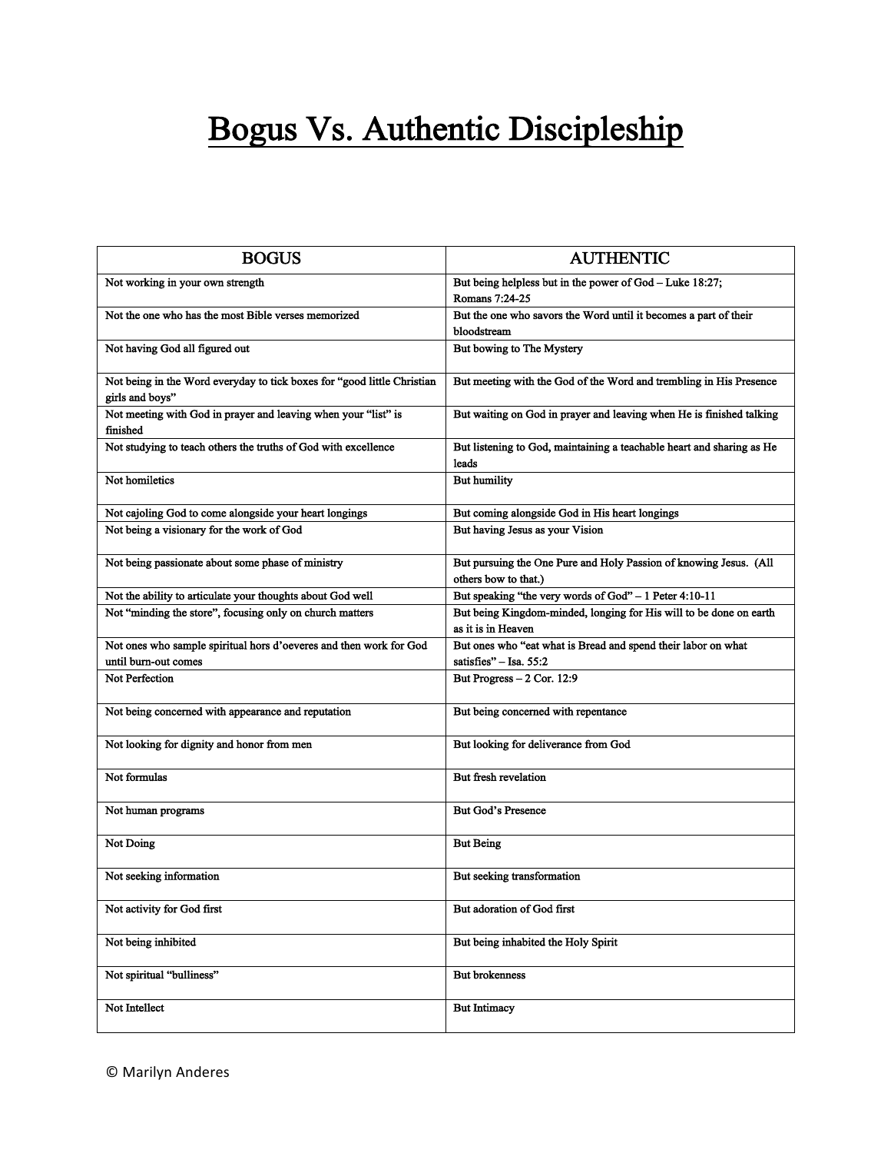## Bogus Vs. Authentic Discipleship

| <b>BOGUS</b>                                                                               | <b>AUTHENTIC</b>                                                                          |
|--------------------------------------------------------------------------------------------|-------------------------------------------------------------------------------------------|
| Not working in your own strength                                                           | But being helpless but in the power of God - Luke 18:27;<br>Romans 7:24-25                |
| Not the one who has the most Bible verses memorized                                        | But the one who savors the Word until it becomes a part of their<br>bloodstream           |
| Not having God all figured out                                                             | But bowing to The Mystery                                                                 |
| Not being in the Word everyday to tick boxes for "good little Christian<br>girls and boys" | But meeting with the God of the Word and trembling in His Presence                        |
| Not meeting with God in prayer and leaving when your "list" is<br>finished                 | But waiting on God in prayer and leaving when He is finished talking                      |
| Not studying to teach others the truths of God with excellence                             | But listening to God, maintaining a teachable heart and sharing as He<br>leads            |
| Not homiletics                                                                             | <b>But humility</b>                                                                       |
| Not cajoling God to come alongside your heart longings                                     | But coming alongside God in His heart longings                                            |
| Not being a visionary for the work of God                                                  | But having Jesus as your Vision                                                           |
| Not being passionate about some phase of ministry                                          | But pursuing the One Pure and Holy Passion of knowing Jesus. (All<br>others bow to that.) |
| Not the ability to articulate your thoughts about God well                                 | But speaking "the very words of God" - 1 Peter 4:10-11                                    |
| Not "minding the store", focusing only on church matters                                   | But being Kingdom-minded, longing for His will to be done on earth<br>as it is in Heaven  |
| Not ones who sample spiritual hors d'oeveres and then work for God                         | But ones who "eat what is Bread and spend their labor on what                             |
| until burn-out comes                                                                       | satisfies" $-$ Isa, 55:2                                                                  |
| <b>Not Perfection</b>                                                                      | But Progress - 2 Cor. 12:9                                                                |
| Not being concerned with appearance and reputation                                         | But being concerned with repentance                                                       |
| Not looking for dignity and honor from men                                                 | But looking for deliverance from God                                                      |
| Not formulas                                                                               | But fresh revelation                                                                      |
| Not human programs                                                                         | <b>But God's Presence</b>                                                                 |
| Not Doing                                                                                  | <b>But Being</b>                                                                          |
| Not seeking information                                                                    | But seeking transformation                                                                |
| Not activity for God first                                                                 | But adoration of God first                                                                |
| Not being inhibited                                                                        | But being inhabited the Holy Spirit                                                       |
| Not spiritual "bulliness"                                                                  | <b>But brokenness</b>                                                                     |
| Not Intellect                                                                              | <b>But Intimacy</b>                                                                       |